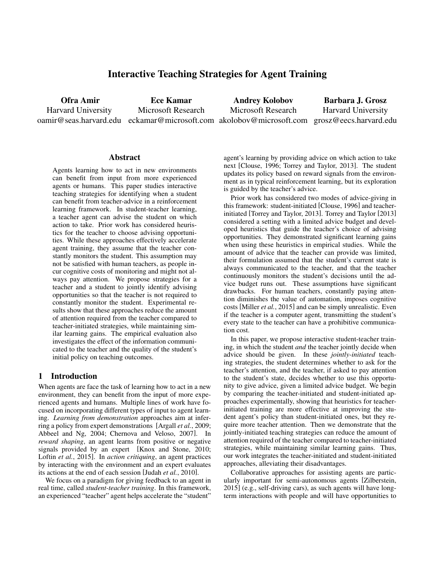# Interactive Teaching Strategies for Agent Training

Ofra Amir Harvard University oamir@seas.harvard.edu eckamar@microsoft.com akolobov@microsoft.com grosz@eecs.harvard.edu Ece Kamar Microsoft Research Andrey Kolobov Microsoft Research Barbara J. Grosz Harvard University

#### **Abstract**

Agents learning how to act in new environments can benefit from input from more experienced agents or humans. This paper studies interactive teaching strategies for identifying when a student can benefit from teacher-advice in a reinforcement learning framework. In student-teacher learning, a teacher agent can advise the student on which action to take. Prior work has considered heuristics for the teacher to choose advising opportunities. While these approaches effectively accelerate agent training, they assume that the teacher constantly monitors the student. This assumption may not be satisfied with human teachers, as people incur cognitive costs of monitoring and might not always pay attention. We propose strategies for a teacher and a student to jointly identify advising opportunities so that the teacher is not required to constantly monitor the student. Experimental results show that these approaches reduce the amount of attention required from the teacher compared to teacher-initiated strategies, while maintaining similar learning gains. The empirical evaluation also investigates the effect of the information communicated to the teacher and the quality of the student's initial policy on teaching outcomes.

### 1 Introduction

When agents are face the task of learning how to act in a new environment, they can benefit from the input of more experienced agents and humans. Multiple lines of work have focused on incorporating different types of input to agent learning. *Learning from demonstration* approaches aim at inferring a policy from expert demonstrations [Argall *et al.*, 2009; Abbeel and Ng, 2004; Chernova and Veloso, 2007]. In *reward shaping*, an agent learns from positive or negative signals provided by an expert [Knox and Stone, 2010; Loftin *et al.*, 2015]. In *action critiquing*, an agent practices by interacting with the environment and an expert evaluates its actions at the end of each session [Judah *et al.*, 2010].

We focus on a paradigm for giving feedback to an agent in real time, called *student-teacher training*. In this framework, an experienced "teacher" agent helps accelerate the "student" agent's learning by providing advice on which action to take next [Clouse, 1996; Torrey and Taylor, 2013]. The student updates its policy based on reward signals from the environment as in typical reinforcement learning, but its exploration is guided by the teacher's advice.

Prior work has considered two modes of advice-giving in this framework: student-initiated [Clouse, 1996] and teacherinitiated [Torrey and Taylor, 2013]. Torrey and Taylor [2013] considered a setting with a limited advice budget and developed heuristics that guide the teacher's choice of advising opportunities. They demonstrated significant learning gains when using these heuristics in empirical studies. While the amount of advice that the teacher can provide was limited, their formulation assumed that the student's current state is always communicated to the teacher, and that the teacher continuously monitors the student's decisions until the advice budget runs out. These assumptions have significant drawbacks. For human teachers, constantly paying attention diminishes the value of automation, imposes cognitive costs [Miller *et al.*, 2015] and can be simply unrealistic. Even if the teacher is a computer agent, transmitting the student's every state to the teacher can have a prohibitive communication cost.

In this paper, we propose interactive student-teacher training, in which the student *and* the teacher jointly decide when advice should be given. In these *jointly-initiated* teaching strategies, the student determines whether to ask for the teacher's attention, and the teacher, if asked to pay attention to the student's state, decides whether to use this opportunity to give advice, given a limited advice budget. We begin by comparing the teacher-initiated and student-initiated approaches experimentally, showing that heuristics for teacherinitiated training are more effective at improving the student agent's policy than student-initiated ones, but they require more teacher attention. Then we demonstrate that the jointly-initiated teaching strategies can reduce the amount of attention required of the teacher compared to teacher-initiated strategies, while maintaining similar learning gains. Thus, our work integrates the teacher-initiated and student-initiated approaches, alleviating their disadvantages.

Collaborative approaches for assisting agents are particularly important for semi-autonomous agents [Zilberstein, 2015] (e.g., self-driving cars), as such agents will have longterm interactions with people and will have opportunities to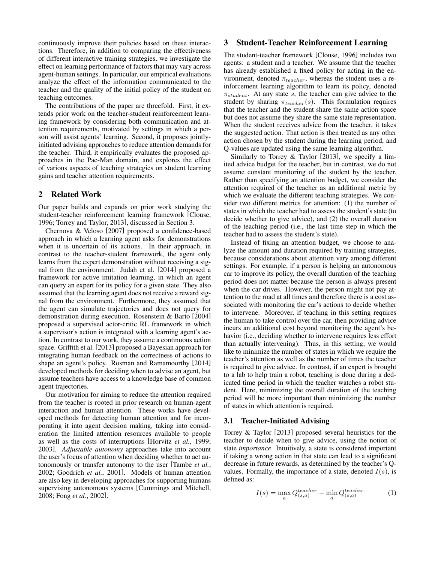continuously improve their policies based on these interactions. Therefore, in addition to comparing the effectiveness of different interactive training strategies, we investigate the effect on learning performance of factors that may vary across agent-human settings. In particular, our empirical evaluations analyze the effect of the information communicated to the teacher and the quality of the initial policy of the student on teaching outcomes.

The contributions of the paper are threefold. First, it extends prior work on the teacher-student reinforcement learning framework by considering both communication and attention requirements, motivated by settings in which a person will assist agents' learning. Second, it proposes jointlyinitiated advising approaches to reduce attention demands for the teacher. Third, it empirically evaluates the proposed approaches in the Pac-Man domain, and explores the effect of various aspects of teaching strategies on student learning gains and teacher attention requirements.

### 2 Related Work

Our paper builds and expands on prior work studying the student-teacher reinforcement learning framework [Clouse, 1996; Torrey and Taylor, 2013], discussed in Section 3.

Chernova & Veloso [2007] proposed a confidence-based approach in which a learning agent asks for demonstrations when it is uncertain of its actions. In their approach, in contrast to the teacher-student framework, the agent only learns from the expert demonstration without receiving a signal from the environment. Judah et al. [2014] proposed a framework for active imitation learning, in which an agent can query an expert for its policy for a given state. They also assumed that the learning agent does not receive a reward signal from the environment. Furthermore, they assumed that the agent can simulate trajectories and does not query for demonstration during execution. Rosenstein & Barto [2004] proposed a supervised actor-critic RL framework in which a supervisor's action is integrated with a learning agent's action. In contrast to our work, they assume a continuous action space. Griffith et al. [2013] proposed a Bayesian approach for integrating human feedback on the correctness of actions to shape an agent's policy. Rosman and Ramamoorthy [2014] developed methods for deciding when to advise an agent, but assume teachers have access to a knowledge base of common agent trajectories.

Our motivation for aiming to reduce the attention required from the teacher is rooted in prior research on human-agent interaction and human attention. These works have developed methods for detecting human attention and for incorporating it into agent decision making, taking into consideration the limited attention resources available to people as well as the costs of interruptions [Horvitz *et al.*, 1999; 2003]. *Adjustable autonomy* approaches take into account the user's focus of attention when deciding whether to act autonomously or transfer autonomy to the user [Tambe *et al.*, 2002; Goodrich *et al.*, 2001]. Models of human attention are also key in developing approaches for supporting humans supervising autonomous systems [Cummings and Mitchell, 2008; Fong *et al.*, 2002].

## 3 Student-Teacher Reinforcement Learning

The student-teacher framework [Clouse, 1996] includes two agents: a student and a teacher. We assume that the teacher has already established a fixed policy for acting in the environment, denoted  $\pi_{teacher}$ , whereas the student uses a reinforcement learning algorithm to learn its policy, denoted  $\pi_{student}$ . At any state s, the teacher can give advice to the student by sharing  $\pi_{teacher}(s)$ . This formulation requires that the teacher and the student share the same action space but does not assume they share the same state representation. When the student receives advice from the teacher, it takes the suggested action. That action is then treated as any other action chosen by the student during the learning period, and Q-values are updated using the same learning algorithm.

Similarly to Torrey & Taylor [2013], we specify a limited advice budget for the teacher, but in contrast, we do not assume constant monitoring of the student by the teacher. Rather than specifying an attention budget, we consider the attention required of the teacher as an additional metric by which we evaluate the different teaching strategies. We consider two different metrics for attention: (1) the number of states in which the teacher had to assess the student's state (to decide whether to give advice), and (2) the overall duration of the teaching period (i.e., the last time step in which the teacher had to assess the student's state).

Instead of fixing an attention budget, we choose to analyze the amount and duration required by training strategies, because considerations about attention vary among different settings. For example, if a person is helping an autonomous car to improve its policy, the overall duration of the teaching period does not matter because the person is always present when the car drives. However, the person might not pay attention to the road at all times and therefore there is a cost associated with monitoring the car's actions to decide whether to intervene. Moreover, if teaching in this setting requires the human to take control over the car, then providing advice incurs an additional cost beyond monitoring the agent's behavior (i.e., deciding whether to intervene requires less effort than actually intervening). Thus, in this setting, we would like to minimize the number of states in which we require the teacher's attention as well as the number of times the teacher is required to give advice. In contrast, if an expert is brought to a lab to help train a robot, teaching is done during a dedicated time period in which the teacher watches a robot student. Here, minimizing the overall duration of the teaching period will be more important than minimizing the number of states in which attention is required.

#### 3.1 Teacher-Initiated Advising

Torrey & Taylor [2013] proposed several heuristics for the teacher to decide when to give advice, using the notion of state *importance*. Intuitively, a state is considered important if taking a wrong action in that state can lead to a significant decrease in future rewards, as determined by the teacher's Qvalues. Formally, the importance of a state, denoted  $I(s)$ , is defined as:

$$
I(s) = \max_{a} Q_{(s,a)}^{teacher} - \min_{a} Q_{(s,a)}^{teacher}
$$
 (1)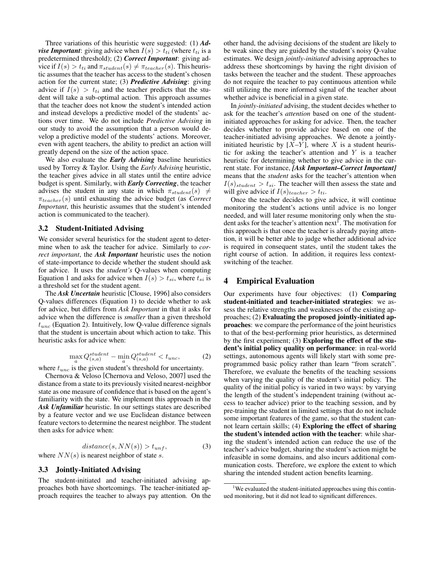Three variations of this heuristic were suggested: (1) *Advise Important*: giving advice when  $I(s) > t_{ti}$  (where  $t_{ti}$  is a predetermined threshold); (2) *Correct Important*: giving advice if  $I(s) > t_{ti}$  and  $\pi_{student}(s) \neq \pi_{teacher}(s)$ . This heuristic assumes that the teacher has access to the student's chosen action for the current state; (3) *Predictive Advising*: giving advice if  $I(s) > t_{ti}$  and the teacher predicts that the student will take a sub-optimal action. This approach assumes that the teacher does not know the student's intended action and instead develops a predictive model of the students' actions over time. We do not include *Predictive Advising* in our study to avoid the assumption that a person would develop a predictive model of the students' actions. Moreover, even with agent teachers, the ability to predict an action will greatly depend on the size of the action space.

We also evaluate the *Early Advising* baseline heuristics used by Torrey & Taylor. Using the *Early Advising* heuristic, the teacher gives advice in all states until the entire advice budget is spent. Similarly, with *Early Correcting*, the teacher advises the student in any state in which  $\pi_{student}(s) \neq$  $\pi_{teacher}(s)$  until exhausting the advice budget (as *Correct Important*, this heuristic assumes that the student's intended action is communicated to the teacher).

#### 3.2 Student-Initiated Advising

We consider several heuristics for the student agent to determine when to ask the teacher for advice. Similarly to *correct important*, the *Ask Important* heuristic uses the notion of state-importance to decide whether the student should ask for advice. It uses the *student's* Q-values when computing Equation 1 and asks for advice when  $I(s) > t_{si}$ , where  $t_{si}$  is a threshold set for the student agent.

The *Ask Uncertain* heuristic [Clouse, 1996] also considers Q-values differences (Equation 1) to decide whether to ask for advice, but differs from *Ask Important* in that it asks for advice when the difference is *smaller* than a given threshold  $t_{unc}$  (Equation 2). Intuitively, low Q-value difference signals that the student is uncertain about which action to take. This heuristic asks for advice when:

$$
\max_{a} Q_{(s,a)}^{student} - \min_{a} Q_{(s,a)}^{student} < t_{unc},\tag{2}
$$

where  $t_{unc}$  is the given student's threshold for uncertainty.

Chernova & Veloso [Chernova and Veloso, 2007] used the distance from a state to its previously visited nearest-neighbor state as one measure of confidence that is based on the agent's familiarity with the state. We implement this approach in the *Ask Unfamiliar* heuristic. In our settings states are described by a feature vector and we use Euclidean distance between feature vectors to determine the nearest neighbor. The student then asks for advice when:

$$
distance(s, NN(s)) > t_{unf}, \tag{3}
$$

where  $NN(s)$  is nearest neighbor of state s.

#### 3.3 Jointly-Initiated Advising

The student-initiated and teacher-initiated advising approaches both have shortcomings. The teacher-initiated approach requires the teacher to always pay attention. On the other hand, the advising decisions of the student are likely to be weak since they are guided by the student's noisy Q-value estimates. We design *jointly-initiated* advising approaches to address these shortcomings by having the right division of tasks between the teacher and the student. These approaches do not require the teacher to pay continuous attention while still utilizing the more informed signal of the teacher about whether advice is beneficial in a given state.

In *jointly-initiated* advising, the student decides whether to ask for the teacher's *attention* based on one of the studentinitiated approaches for asking for advice. Then, the teacher decides whether to provide advice based on one of the teacher-initiated advising approaches. We denote a jointlyinitiated heuristic by  $[X-\overline{Y}]$ , where X is a student heuristic for asking the teacher's attention and  $Y$  is a teacher heuristic for determining whether to give advice in the current state. For instance, *[Ask Important–Correct Important]* means that the *student* asks for the teacher's attention when  $I(s)_{student} > t_{si}$ . The teacher will then assess the state and will give advice if  $I(s)_{teacher} > t_{ti}$ .

Once the teacher decides to give advice, it will continue monitoring the student's actions until advice is no longer needed, and will later resume monitoring only when the student asks for the teacher's attention next<sup>1</sup>. The motivation for this approach is that once the teacher is already paying attention, it will be better able to judge whether additional advice is required in consequent states, until the student takes the right course of action. In addition, it requires less contextswitching of the teacher.

#### 4 Empirical Evaluation

Our experiments have four objectives: (1) Comparing student-initiated and teacher-initiated strategies: we assess the relative strengths and weaknesses of the existing approaches; (2) Evaluating the proposed jointly-initiated approaches: we compare the performance of the joint heuristics to that of the best-performing prior heuristics, as determined by the first experiment; (3) Exploring the effect of the student's initial policy quality on performance: in real-world settings, autonomous agents will likely start with some preprogrammed basic policy rather than learn "from scratch". Therefore, we evaluate the benefits of the teaching sessions when varying the quality of the student's initial policy. The quality of the initial policy is varied in two ways: by varying the length of the student's independent training (without access to teacher advice) prior to the teaching session, and by pre-training the student in limited settings that do not include some important features of the game, so that the student cannot learn certain skills; (4) Exploring the effect of sharing the student's intended action with the teacher: while sharing the student's intended action can reduce the use of the teacher's advice budget, sharing the student's action might be infeasible in some domains, and also incurs additional communication costs. Therefore, we explore the extent to which sharing the intended student action benefits learning.

<sup>&</sup>lt;sup>1</sup>We evaluated the student-initiated approaches using this continued monitoring, but it did not lead to significant differences.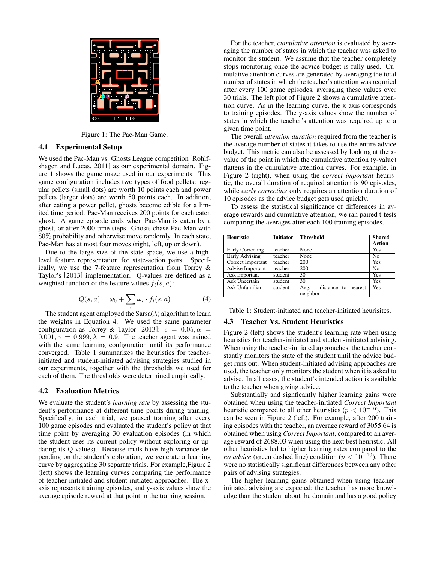

Figure 1: The Pac-Man Game.

#### 4.1 Experimental Setup

We used the Pac-Man vs. Ghosts League competition [Rohlfshagen and Lucas, 2011] as our experimental domain. Figure 1 shows the game maze used in our experiments. This game configuration includes two types of food pellets: regular pellets (small dots) are worth 10 points each and power pellets (larger dots) are worth 50 points each. In addition, after eating a power pellet, ghosts become edible for a limited time period. Pac-Man receives 200 points for each eaten ghost. A game episode ends when Pac-Man is eaten by a ghost, or after 2000 time steps. Ghosts chase Pac-Man with 80% probability and otherwise move randomly. In each state, Pac-Man has at most four moves (right, left, up or down).

Due to the large size of the state space, we use a highlevel feature representation for state-action pairs. Specifically, we use the 7-feature representation from Torrey & Taylor's [2013] implementation. Q-values are defined as a weighted function of the feature values  $f_i(s, a)$ :

$$
Q(s, a) = \omega_0 + \sum_i \omega_i \cdot f_i(s, a)
$$
 (4)

The student agent employed the Sarsa( $\lambda$ ) algorithm to learn the weights in Equation 4. We used the same parameter configuration as Torrey & Taylor [2013]:  $\epsilon = 0.05, \alpha =$  $0.001, \gamma = 0.999, \lambda = 0.9$ . The teacher agent was trained with the same learning configuration until its performance converged. Table 1 summarizes the heuristics for teacherinitiated and student-initiated advising strategies studied in our experiments, together with the thresholds we used for each of them. The thresholds were determined empirically.

#### 4.2 Evaluation Metrics

We evaluate the student's *learning rate* by assessing the student's performance at different time points during training. Specifically, in each trial, we paused training after every 100 game episodes and evaluated the student's policy at that time point by averaging 30 evaluation episodes (in which the student uses its current policy without exploring or updating its Q-values). Because trials have high variance depending on the student's eploration, we generate a learning curve by aggregating 30 separate trials. For example,Figure 2 (left) shows the learning curves comparing the performance of teacher-initiated and student-initiated approaches. The xaxis represents training episodes, and y-axis values show the average episode reward at that point in the training session.

For the teacher, *cumulative attention* is evaluated by averaging the number of states in which the teacher was asked to monitor the student. We assume that the teacher completely stops monitoring once the advice budget is fully used. Cumulative attention curves are generated by averaging the total number of states in which the teacher's attention was requried after every 100 game episodes, averaging these values over 30 trials. The left plot of Figure 2 shows a cumulative attention curve. As in the learning curve, the x-axis corresponds to training episodes. The y-axis values show the number of states in which the teacher's attention was required up to a given time point.

The overall *attention duration* required from the teacher is the average number of states it takes to use the entire advice budget. This metric can also be assessed by looking at the xvalue of the point in which the cumulative attention (y-value) flattens in the cumulative attention curves. For example, in Figure 2 (right), when using the *correct important* heuristic, the overall duration of required attention is 90 episodes, while *early correcting* only requires an attention duration of 10 episodes as the advice budget gets used quickly.

To assess the statistical significance of differences in average rewards and cumulative attention, we ran paired t-tests comparing the averages after each 100 training episodes.

| <b>Heuristic</b>     | <b>Initiator</b> | <b>Threshold</b>            | <b>Shared</b><br><b>Action</b> |
|----------------------|------------------|-----------------------------|--------------------------------|
| Early Correcting     | teacher          | None                        | Yes                            |
| Early Advising       | teacher          | None                        | No                             |
| Correct Important    | teacher          | 200                         | <b>Yes</b>                     |
| Advise Important     | teacher          | 200                         | No                             |
| Ask Important        | student          | 50                          | Yes                            |
| <b>Ask Uncertain</b> | student          | 30                          | Yes                            |
| Ask Unfamiliar       | student          | distance to nearest<br>Avg. | Yes                            |
|                      |                  | neighbor                    |                                |

Table 1: Student-initiated and teacher-initiated heurisitcs.

#### 4.3 Teacher Vs. Student Heuristics

Figure 2 (left) shows the student's learning rate when using heuristics for teacher-initiated and student-initiated advising. When using the teacher-initiated approaches, the teacher constantly monitors the state of the student until the advice budget runs out. When student-initiated advising approaches are used, the teacher only monitors the student when it is asked to advise. In all cases, the student's intended action is available to the teacher when giving advice.

Substantially and signficantly higher learning gains were obtained when using the teacher-initiated *Correct Important* heuristic compared to all other heuristics ( $p < 10^{-16}$ ). This can be seen in Figure 2 (left). For example, after 200 training episodes with the teacher, an average reward of 3055.64 is obtained when using *Correct Important*, compared to an average reward of 2688.03 when using the next best heuristic. All other heuristics led to higher learning rates compared to the *no advice* (green dashed line) condition ( $p < 10^{-10}$ ). There were no statistically significant differences between any other pairs of advising strategies.

The higher learning gains obtained when using teacherinitiated advising are expected; the teacher has more knowledge than the student about the domain and has a good policy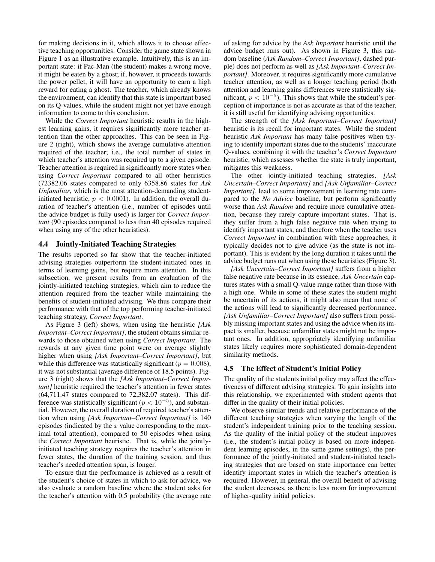for making decisions in it, which allows it to choose effective teaching opportunities. Consider the game state shown in Figure 1 as an illustrative example. Intuitively, this is an important state: if Pac-Man (the student) makes a wrong move, it might be eaten by a ghost; if, however, it proceeds towards the power pellet, it will have an opportunity to earn a high reward for eating a ghost. The teacher, which already knows the environment, can identify that this state is important based on its Q-values, while the student might not yet have enough information to come to this conclusion.

While the *Correct Important* heuristic results in the highest learning gains, it requires significantly more teacher attention than the other approaches. This can be seen in Figure 2 (right), which shows the average cumulative attention required of the teacher; i.e., the total number of states in which teacher's attention was required up to a given episode. Teacher attention is required in significantly more states when using *Correct Important* compared to all other heuristics (72382.06 states compared to only 6358.86 states for *Ask Unfamiliar*, which is the most attention-demanding studentinitiated heuristic,  $p < 0.0001$ ). In addition, the overall duration of teacher's attention (i.e., number of episodes until the advice budget is fully used) is larger for *Correct Important* (90 episodes compared to less than 40 episodes required when using any of the other heuristics).

#### 4.4 Jointly-Initiated Teaching Strategies

The results reported so far show that the teacher-initiated advising strategies outperform the student-initiated ones in terms of learning gains, but require more attention. In this subsection, we present results from an evaluation of the jointly-initiated teaching strategies, which aim to reduce the attention required from the teacher while maintaining the benefits of student-initiated advising. We thus compare their performance with that of the top performing teacher-initiated teaching strategy, *Correct Important*.

As Figure 3 (left) shows, when using the heuristic *[Ask Important–Correct Important]*, the student obtains similar rewards to those obtained when using *Correct Important*. The rewards at any given time point were on average slightly higher when using *[Ask Important–Correct Important]*, but while this difference was statistically significant ( $p = 0.008$ ), it was not substantial (average difference of 18.5 points). Figure 3 (right) shows that the *[Ask Important–Correct Important]* heuristic required the teacher's attention in fewer states (64,711.47 states compared to 72,382.07 states). This difference was statistically significant ( $p < 10^{-5}$ ), and substantial. However, the overall duration of required teacher's attention when using *[Ask Important–Correct Important]* is 140 episodes (indicated by the  $x$  value corresponding to the maximal total attention), compared to 50 episodes when using the *Correct Important* heuristic. That is, while the jointlyinitiated teaching strategy requires the teacher's attention in fewer states, the duration of the training session, and thus teacher's needed attention span, is longer.

To ensure that the performance is achieved as a result of the student's choice of states in which to ask for advice, we also evaluate a random baseline where the student asks for the teacher's attention with 0.5 probability (the average rate

of asking for advice by the *Ask Important* heuristic until the advice budget runs out). As shown in Figure 3, this random baseline (*Ask Random–Correct Important]*, dashed purple) does not perform as well as *[Ask Important–Correct Important]*. Moreover, it requires significantly more cumulative teacher attention, as well as a longer teaching period (both attention and learning gains differences were statistically significant,  $p < 10^{-5}$ ). This shows that while the student's perception of importance is not as accurate as that of the teacher, it is still useful for identifying advising opportunities.

The strength of the *[Ask Important–Correct Important]* heuristic is its recall for important states. While the student heuristic *Ask Important* has many false positives when trying to identify important states due to the students' inaccurate Q-values, combining it with the teacher's *Correct Important* heuristic, which assesses whether the state is truly important, mitigates this weakness.

The other jointly-initiated teaching strategies, *[Ask Uncertain–Correct Important]* and *[Ask Unfamiliar–Correct Important]*, lead to some improvement in learning rate compared to the *No Advice* baseline, but perform significantly worse than *Ask Random* and require more cumulative attention, because they rarely capture important states. That is, they suffer from a high false negative rate when trying to identify important states, and therefore when the teacher uses *Correct Important* in combination with these approaches, it typically decides not to give advice (as the state is not important). This is evident by the long duration it takes until the advice budget runs out when using these heuristics (Figure 3).

*[Ask Uncertain–Correct Important]* suffers from a higher false negative rate because in its essence, *Ask Uncertain* captures states with a small Q-value range rather than those with a high one. While in some of these states the student might be uncertain of its actions, it might also mean that none of the actions will lead to significantly decreased performance. *[Ask Unfamiliar–Correct Important]* also suffers from possibly missing important states and using the advice when its impact is smaller, because unfamiliar states might not be important ones. In addition, appropriately identifying unfamiliar states likely requires more sophisticated domain-dependent similarity methods.

#### 4.5 The Effect of Student's Initial Policy

The quality of the students initial policy may affect the effectiveness of different advising strategies. To gain insights into this relationship, we experimented with student agents that differ in the quality of their initial policies.

We observe similar trends and relative performance of the different teaching strategies when varying the length of the student's independent training prior to the teaching session. As the quality of the initial policy of the student improves (i.e., the student's initial policy is based on more independent learning episodes, in the same game settings), the performance of the jointly-initiated and student-initiated teaching strategies that are based on state importance can better identify important states in which the teacher's attention is required. However, in general, the overall benefit of advising the student decreases, as there is less room for improvement of higher-quality initial policies.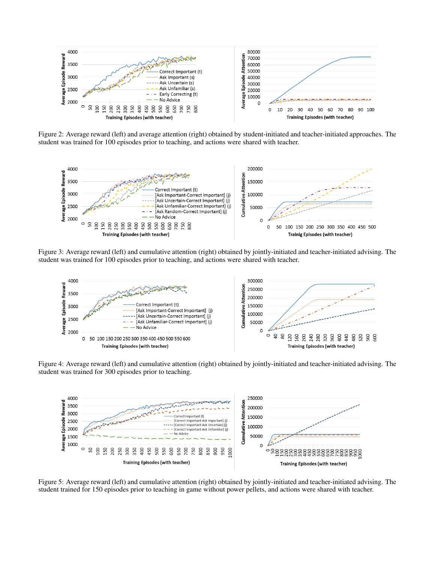

Figure 2: Average reward (left) and average attention (right) obtained by student-initiated and teacher-initiated approaches. The student was trained for 100 episodes prior to teaching, and actions were shared with teacher.



Figure 3: Average reward (left) and cumulative attention (right) obtained by jointly-initiated and teacher-initiated advising. The student was trained for 100 episodes prior to teaching, and actions were shared with teacher.



Figure 4: Average reward (left) and cumulative attention (right) obtained by jointly-initiated and teacher-initiated advising. The student was trained for 300 episodes prior to teaching.



Figure 5: Average reward (left) and cumulative attention (right) obtained by jointly-initiated and teacher-initiated advising. The student trained for 150 episodes prior to teaching in game without power pellets, and actions were shared with teacher.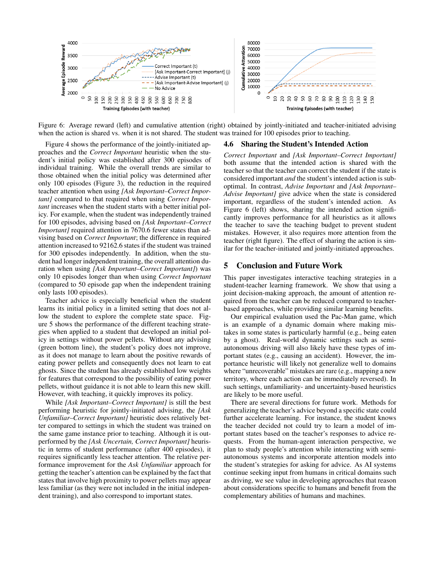

Figure 6: Average reward (left) and cumulative attention (right) obtained by jointly-initiated and teacher-initiated advising when the action is shared vs. when it is not shared. The student was trained for 100 episodes prior to teaching.

Figure 4 shows the performance of the jointly-initiated approaches and the *Correct Important* heuristic when the student's initial policy was established after 300 episodes of individual training. While the overall trends are similar to those obtained when the initial policy was determined after only 100 episodes (Figure 3), the reduction in the required teacher attention when using *[Ask Important–Correct Important]* compared to that required when using *Correct Important* increases when the student starts with a better initial policy. For example, when the student was independently trained for 100 episodes, advising based on *[Ask Important–Correct Important]* required attention in 7670.6 fewer states than advising based on *Correct Important*; the difference in required attention increased to 92162.6 states if the student was trained for 300 episodes independently. In addition, when the student had longer independent training, the overall attention duration when using *[Ask Important–Correct Important]*) was only 10 episodes longer than when using *Correct Important* (compared to 50 episode gap when the independent training only lasts 100 episodes).

Teacher advice is especially beneficial when the student learns its initial policy in a limited setting that does not allow the student to explore the complete state space. Figure 5 shows the performance of the different teaching strategies when applied to a student that developed an initial policy in settings without power pellets. Without any advising (green bottom line), the student's policy does not improve, as it does not manage to learn about the positive rewards of eating power pellets and consequently does not learn to eat ghosts. Since the student has already established low weights for features that correspond to the possibility of eating power pellets, without guidance it is not able to learn this new skill. However, with teaching, it quickly improves its policy.

While *[Ask Important–Correct Important]* is still the best performing heuristic for jointly-initiated advising, the *[Ask Unfamiliar–Correct Important]* heuristic does relatively better compared to settings in which the student was trained on the same game instance prior to teaching. Although it is outperformed by the *[Ask Uncertain, Correct Important]* heuristic in terms of student performance (after 400 episodes), it requires significantly less teacher attention. The relative performance improvement for the *Ask Unfamiliar* approach for getting the teacher's attention can be explained by the fact that states that involve high proximity to power pellets may appear less familiar (as they were not included in the initial independent training), and also correspond to important states.

#### 4.6 Sharing the Student's Intended Action

*Correct Important* and *[Ask Important–Correct Important]* both assume that the intended action is shared with the teacher so that the teacher can correct the student if the state is considered important *and* the student's intended action is suboptimal. In contrast, *Advise Important* and *[Ask Important– Advise Important]* give advice when the state is considered important, regardless of the student's intended action. As Figure 6 (left) shows, sharing the intended action significantly improves performance for all heuristics as it allows the teacher to save the teaching budget to prevent student mistakes. However, it also requires more attention from the teacher (right figure). The effect of sharing the action is similar for the teacher-initiated and jointly-initiated approaches.

### 5 Conclusion and Future Work

This paper investigates interactive teaching strategies in a student-teacher learning framework. We show that using a joint decision-making approach, the amount of attention required from the teacher can be reduced compared to teacherbased approaches, while providing similar learning benefits.

Our empirical evaluation used the Pac-Man game, which is an example of a dynamic domain where making mistakes in some states is particularly harmful (e.g., being eaten by a ghost). Real-world dynamic settings such as semiautonomous driving will also likely have these types of important states (e.g., causing an accident). However, the importance heuristic will likely not generalize well to domains where "unrecoverable" mistakes are rare (e.g., mapping a new territory, where each action can be immediately reversed). In such settings, unfamiliarity- and uncertainty-based heuristics are likely to be more useful.

There are several directions for future work. Methods for generalizing the teacher's advice beyond a specific state could further accelerate learning. For instance, the student knows the teacher decided not could try to learn a model of important states based on the teacher's responses to advice requests. From the human-agent interaction perspective, we plan to study people's attention while interacting with semiautonomous systems and incorporate attention models into the student's strategies for asking for advice. As AI systems continue seeking input from humans in critical domains such as driving, we see value in developing approaches that reason about considerations specific to humans and benefit from the complementary abilities of humans and machines.